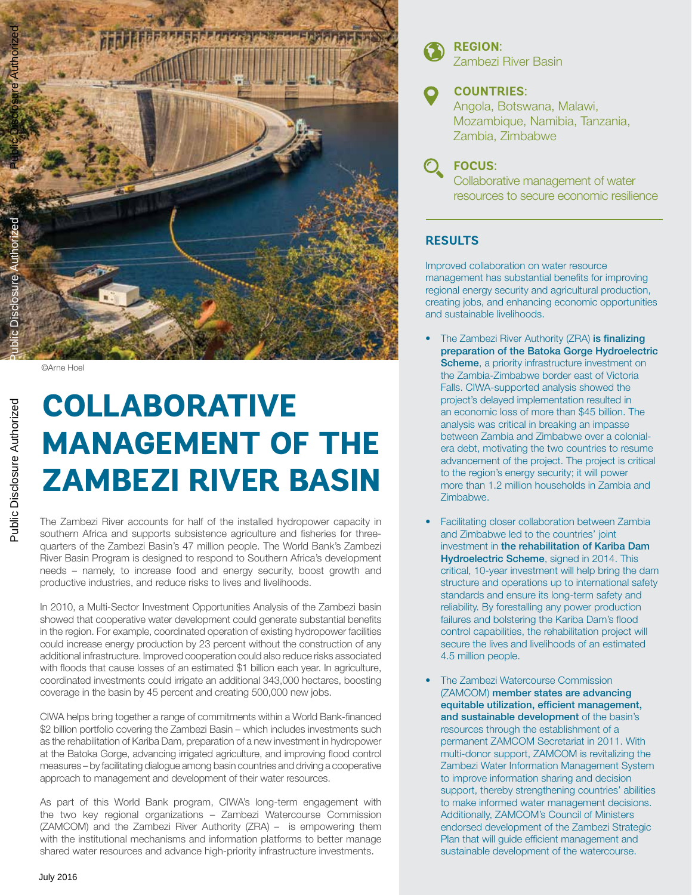

©Arne Hoel

# **COLLABORATIVE MANAGEMENT OF THE ZAMBEZI RIVER BASIN**

The Zambezi River accounts for half of the installed hydropower capacity in southern Africa and supports subsistence agriculture and fisheries for threequarters of the Zambezi Basin's 47 million people. The World Bank's Zambezi River Basin Program is designed to respond to Southern Africa's development needs – namely, to increase food and energy security, boost growth and productive industries, and reduce risks to lives and livelihoods.

In 2010, a Multi-Sector Investment Opportunities Analysis of the Zambezi basin showed that cooperative water development could generate substantial benefits in the region. For example, coordinated operation of existing hydropower facilities could increase energy production by 23 percent without the construction of any additional infrastructure. Improved cooperation could also reduce risks associated with floods that cause losses of an estimated \$1 billion each year. In agriculture, coordinated investments could irrigate an additional 343,000 hectares, boosting coverage in the basin by 45 percent and creating 500,000 new jobs.

CIWA helps bring together a range of commitments within a World Bank-financed \$2 billion portfolio covering the Zambezi Basin – which includes investments such as the rehabilitation of Kariba Dam, preparation of a new investment in hydropower at the Batoka Gorge, advancing irrigated agriculture, and improving flood control measures – by facilitating dialogue among basin countries and driving a cooperative approach to management and development of their water resources.

As part of this World Bank program, CIWA's long-term engagement with the two key regional organizations – Zambezi Watercourse Commission (ZAMCOM) and the Zambezi River Authority (ZRA) – is empowering them with the institutional mechanisms and information platforms to better manage shared water resources and advance high-priority infrastructure investments.



**REGION:**  Zambezi River Basin

## **COUNTRIES:**

Angola, Botswana, Malawi, Mozambique, Namibia, Tanzania, Zambia, Zimbabwe

**FOCUS:** 

Collaborative management of water resources to secure economic resilience

### **RESULTS**

Improved collaboration on water resource management has substantial benefits for improving regional energy security and agricultural production, creating jobs, and enhancing economic opportunities and sustainable livelihoods.

- The Zambezi River Authority (ZRA) is finalizing preparation of the Batoka Gorge Hydroelectric Scheme, a priority infrastructure investment on the Zambia-Zimbabwe border east of Victoria Falls. CIWA-supported analysis showed the project's delayed implementation resulted in an economic loss of more than \$45 billion. The analysis was critical in breaking an impasse between Zambia and Zimbabwe over a colonialera debt, motivating the two countries to resume advancement of the project. The project is critical to the region's energy security; it will power more than 1.2 million households in Zambia and Zimbabwe.
- Facilitating closer collaboration between Zambia and Zimbabwe led to the countries' joint investment in the rehabilitation of Kariba Dam Hydroelectric Scheme, signed in 2014. This critical, 10-year investment will help bring the dam structure and operations up to international safety standards and ensure its long-term safety and reliability. By forestalling any power production failures and bolstering the Kariba Dam's flood control capabilities, the rehabilitation project will secure the lives and livelihoods of an estimated 4.5 million people.
- The Zambezi Watercourse Commission (ZAMCOM) member states are advancing equitable utilization, efficient management, and sustainable development of the basin's resources through the establishment of a permanent ZAMCOM Secretariat in 2011. With multi-donor support, ZAMCOM is revitalizing the Zambezi Water Information Management System to improve information sharing and decision support, thereby strengthening countries' abilities to make informed water management decisions. Additionally, ZAMCOM's Council of Ministers endorsed development of the Zambezi Strategic Plan that will guide efficient management and sustainable development of the watercourse.